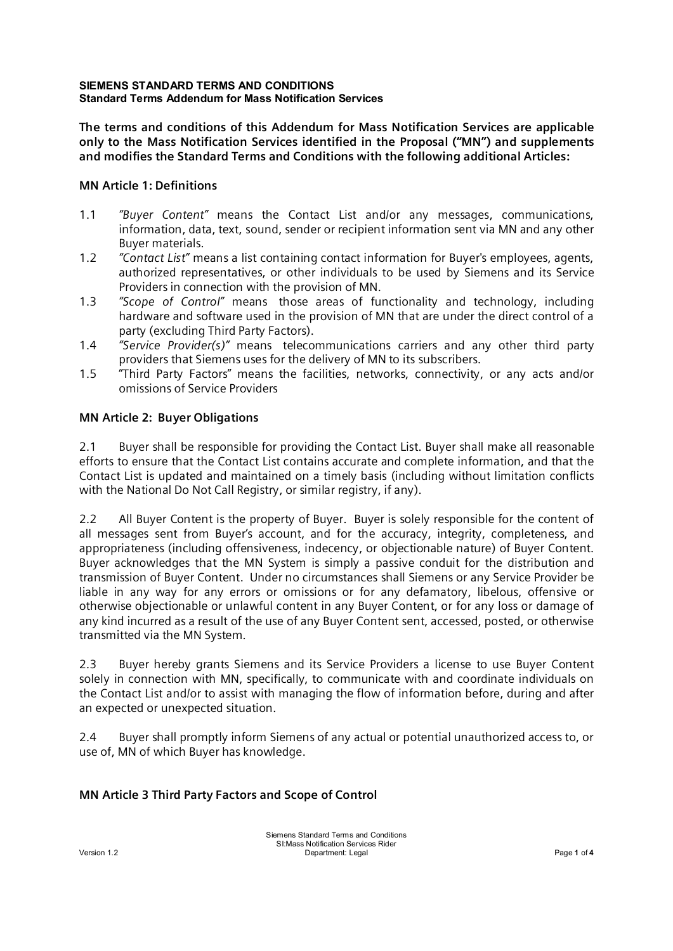**The terms and conditions of this Addendum for Mass Notification Services are applicable only to the Mass Notification Services identified in the Proposal ("MN") and supplements and modifies the Standard Terms and Conditions with the following additional Articles:**

## **MN Article 1: Definitions**

- 1.1 *"Buyer Content"* means the Contact List and/or any messages, communications, information, data, text, sound, sender or recipient information sent via MN and any other Buyer materials.
- 1.2 *"Contact List"* means a list containing contact information for Buyer's employees, agents, authorized representatives, or other individuals to be used by Siemens and its Service Providers in connection with the provision of MN.
- 1.3 *"Scope of Control"* means those areas of functionality and technology, including hardware and software used in the provision of MN that are under the direct control of a party (excluding Third Party Factors).
- 1.4 *"Service Provider(s)"* means telecommunications carriers and any other third party providers that Siemens uses for the delivery of MN to its subscribers.
- 1.5 "Third Party Factors" means the facilities, networks, connectivity, or any acts and/or omissions of Service Providers

## **MN Article 2: Buyer Obligations**

2.1 Buyer shall be responsible for providing the Contact List. Buyer shall make all reasonable efforts to ensure that the Contact List contains accurate and complete information, and that the Contact List is updated and maintained on a timely basis (including without limitation conflicts with the National Do Not Call Registry, or similar registry, if any).

2.2 All Buyer Content is the property of Buyer. Buyer is solely responsible for the content of all messages sent from Buyer's account, and for the accuracy, integrity, completeness, and appropriateness (including offensiveness, indecency, or objectionable nature) of Buyer Content. Buyer acknowledges that the MN System is simply a passive conduit for the distribution and transmission of Buyer Content. Under no circumstances shall Siemens or any Service Provider be liable in any way for any errors or omissions or for any defamatory, libelous, offensive or otherwise objectionable or unlawful content in any Buyer Content, or for any loss or damage of any kind incurred as a result of the use of any Buyer Content sent, accessed, posted, or otherwise transmitted via the MN System.

2.3 Buyer hereby grants Siemens and its Service Providers a license to use Buyer Content solely in connection with MN, specifically, to communicate with and coordinate individuals on the Contact List and/or to assist with managing the flow of information before, during and after an expected or unexpected situation.

2.4 Buyer shall promptly inform Siemens of any actual or potential unauthorized access to, or use of, MN of which Buyer has knowledge.

# **MN Article 3 Third Party Factors and Scope of Control**

Siemens Standard Terms and Conditions SI:Mass Notification Services Rider Version 1.2 Department: Legal Page **1** of **4**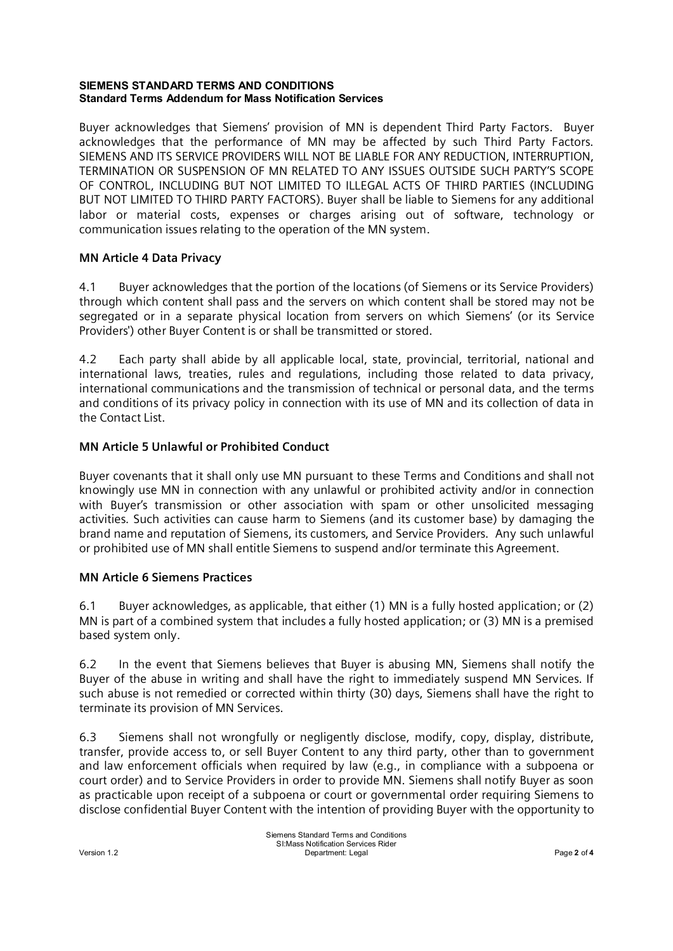Buyer acknowledges that Siemens' provision of MN is dependent Third Party Factors. Buyer acknowledges that the performance of MN may be affected by such Third Party Factors. SIEMENS AND ITS SERVICE PROVIDERS WILL NOT BE LIABLE FOR ANY REDUCTION, INTERRUPTION, TERMINATION OR SUSPENSION OF MN RELATED TO ANY ISSUES OUTSIDE SUCH PARTY'S SCOPE OF CONTROL, INCLUDING BUT NOT LIMITED TO ILLEGAL ACTS OF THIRD PARTIES (INCLUDING BUT NOT LIMITED TO THIRD PARTY FACTORS). Buyer shall be liable to Siemens for any additional labor or material costs, expenses or charges arising out of software, technology or communication issues relating to the operation of the MN system.

## **MN Article 4 Data Privacy**

4.1 Buyer acknowledges that the portion of the locations (of Siemens or its Service Providers) through which content shall pass and the servers on which content shall be stored may not be segregated or in a separate physical location from servers on which Siemens' (or its Service Providers') other Buyer Content is or shall be transmitted or stored.

4.2 Each party shall abide by all applicable local, state, provincial, territorial, national and international laws, treaties, rules and regulations, including those related to data privacy, international communications and the transmission of technical or personal data, and the terms and conditions of its privacy policy in connection with its use of MN and its collection of data in the Contact List.

## **MN Article 5 Unlawful or Prohibited Conduct**

Buyer covenants that it shall only use MN pursuant to these Terms and Conditions and shall not knowingly use MN in connection with any unlawful or prohibited activity and/or in connection with Buyer's transmission or other association with spam or other unsolicited messaging activities. Such activities can cause harm to Siemens (and its customer base) by damaging the brand name and reputation of Siemens, its customers, and Service Providers. Any such unlawful or prohibited use of MN shall entitle Siemens to suspend and/or terminate this Agreement.

### **MN Article 6 Siemens Practices**

6.1 Buyer acknowledges, as applicable, that either (1) MN is a fully hosted application; or (2) MN is part of a combined system that includes a fully hosted application; or (3) MN is a premised based system only.

6.2 In the event that Siemens believes that Buyer is abusing MN, Siemens shall notify the Buyer of the abuse in writing and shall have the right to immediately suspend MN Services. If such abuse is not remedied or corrected within thirty (30) days, Siemens shall have the right to terminate its provision of MN Services.

6.3 Siemens shall not wrongfully or negligently disclose, modify, copy, display, distribute, transfer, provide access to, or sell Buyer Content to any third party, other than to government and law enforcement officials when required by law (e.g., in compliance with a subpoena or court order) and to Service Providers in order to provide MN. Siemens shall notify Buyer as soon as practicable upon receipt of a subpoena or court or governmental order requiring Siemens to disclose confidential Buyer Content with the intention of providing Buyer with the opportunity to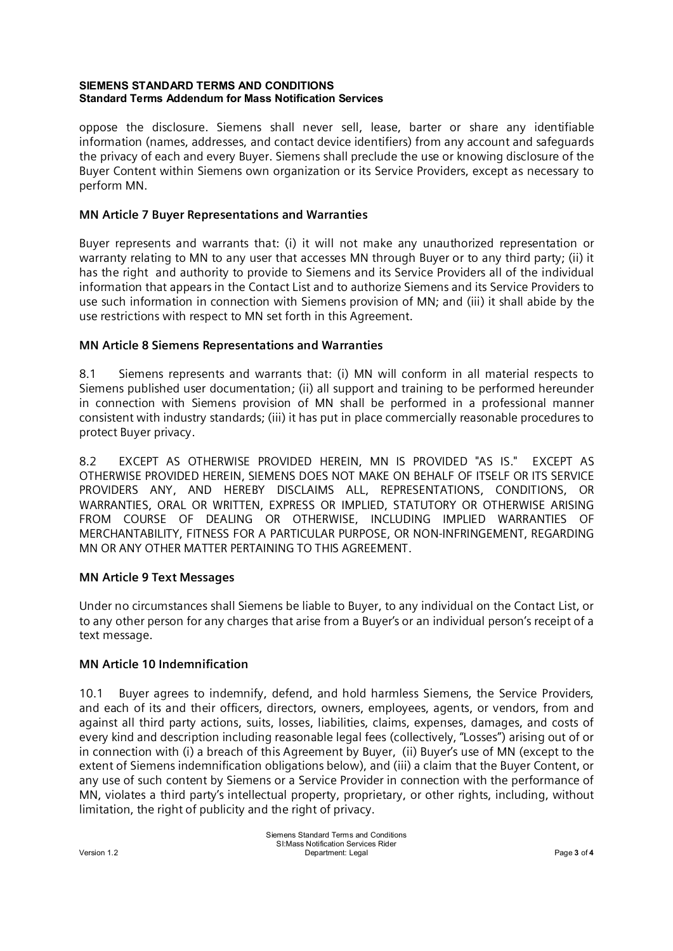oppose the disclosure. Siemens shall never sell, lease, barter or share any identifiable information (names, addresses, and contact device identifiers) from any account and safeguards the privacy of each and every Buyer. Siemens shall preclude the use or knowing disclosure of the Buyer Content within Siemens own organization or its Service Providers, except as necessary to perform MN.

## **MN Article 7 Buyer Representations and Warranties**

Buyer represents and warrants that: (i) it will not make any unauthorized representation or warranty relating to MN to any user that accesses MN through Buyer or to any third party; (ii) it has the right and authority to provide to Siemens and its Service Providers all of the individual information that appears in the Contact List and to authorize Siemens and its Service Providers to use such information in connection with Siemens provision of MN; and (iii) it shall abide by the use restrictions with respect to MN set forth in this Agreement.

## **MN Article 8 Siemens Representations and Warranties**

8.1 Siemens represents and warrants that: (i) MN will conform in all material respects to Siemens published user documentation; (ii) all support and training to be performed hereunder in connection with Siemens provision of MN shall be performed in a professional manner consistent with industry standards; (iii) it has put in place commercially reasonable procedures to protect Buyer privacy.

8.2 EXCEPT AS OTHERWISE PROVIDED HEREIN, MN IS PROVIDED "AS IS." EXCEPT AS OTHERWISE PROVIDED HEREIN, SIEMENS DOES NOT MAKE ON BEHALF OF ITSELF OR ITS SERVICE PROVIDERS ANY, AND HEREBY DISCLAIMS ALL, REPRESENTATIONS, CONDITIONS, OR WARRANTIES, ORAL OR WRITTEN, EXPRESS OR IMPLIED, STATUTORY OR OTHERWISE ARISING FROM COURSE OF DEALING OR OTHERWISE, INCLUDING IMPLIED WARRANTIES OF MERCHANTABILITY, FITNESS FOR A PARTICULAR PURPOSE, OR NON-INFRINGEMENT, REGARDING MN OR ANY OTHER MATTER PERTAINING TO THIS AGREEMENT.

### **MN Article 9 Text Messages**

Under no circumstances shall Siemens be liable to Buyer, to any individual on the Contact List, or to any other person for any charges that arise from a Buyer's or an individual person's receipt of a text message.

### **MN Article 10 Indemnification**

10.1 Buyer agrees to indemnify, defend, and hold harmless Siemens, the Service Providers, and each of its and their officers, directors, owners, employees, agents, or vendors, from and against all third party actions, suits, losses, liabilities, claims, expenses, damages, and costs of every kind and description including reasonable legal fees (collectively, "Losses") arising out of or in connection with (i) a breach of this Agreement by Buyer, (ii) Buyer's use of MN (except to the extent of Siemens indemnification obligations below), and (iii) a claim that the Buyer Content, or any use of such content by Siemens or a Service Provider in connection with the performance of MN, violates a third party's intellectual property, proprietary, or other rights, including, without limitation, the right of publicity and the right of privacy.

Siemens Standard Terms and Conditions SI:Mass Notification Services Rider Version 1.2 Department: Legal Page **3** of **4**